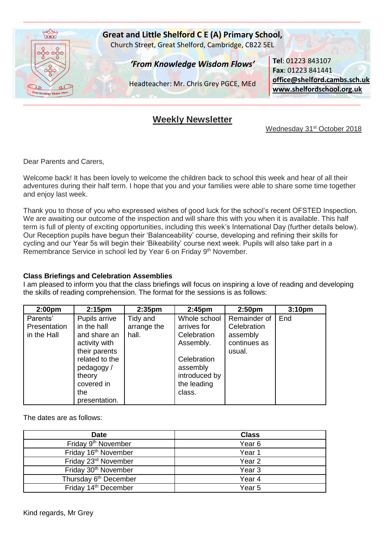

# **Weekly Newsletter**

Wednesday 31<sup>st</sup> October 2018

Dear Parents and Carers,

Welcome back! It has been lovely to welcome the children back to school this week and hear of all their adventures during their half term. I hope that you and your families were able to share some time together and enjoy last week.

Thank you to those of you who expressed wishes of good luck for the school's recent OFSTED Inspection. We are awaiting our outcome of the inspection and will share this with you when it is available. This half term is full of plenty of exciting opportunities, including this week's International Day (further details below). Our Reception pupils have begun their 'Balanceability' course, developing and refining their skills for cycling and our Year 5s will begin their 'Bikeability' course next week. Pupils will also take part in a Remembrance Service in school led by Year 6 on Friday 9<sup>th</sup> November.

#### **Class Briefings and Celebration Assemblies**

I am pleased to inform you that the class briefings will focus on inspiring a love of reading and developing the skills of reading comprehension. The format for the sessions is as follows:

| 2:00 <sub>pm</sub> | 2:15 <sub>pm</sub> | 2:35 <sub>pm</sub> | 2:45 <sub>pm</sub> | 2:50 <sub>pm</sub> | 3:10 <sub>pm</sub> |
|--------------------|--------------------|--------------------|--------------------|--------------------|--------------------|
| Parents'           | Pupils arrive      | Tidy and           | Whole school       | Remainder of       | End                |
| Presentation       | in the hall        | arrange the        | arrives for        | Celebration        |                    |
| in the Hall        | and share an       | hall.              | Celebration        | assembly           |                    |
|                    | activity with      |                    | Assembly.          | continues as       |                    |
|                    | their parents      |                    |                    | usual.             |                    |
|                    | related to the     |                    | Celebration        |                    |                    |
|                    | pedagogy/          |                    | assembly           |                    |                    |
|                    | theory             |                    | introduced by      |                    |                    |
|                    | covered in         |                    | the leading        |                    |                    |
|                    | the                |                    | class.             |                    |                    |
|                    | presentation.      |                    |                    |                    |                    |

The dates are as follows:

| <b>Date</b>                       | <b>Class</b>      |
|-----------------------------------|-------------------|
| Friday 9 <sup>th</sup> November   | Year <sub>6</sub> |
| Friday 16 <sup>th</sup> November  | Year 1            |
| Friday 23rd November              | Year <sub>2</sub> |
| Friday 30 <sup>th</sup> November  | Year <sub>3</sub> |
| Thursday 6 <sup>th</sup> December | Year 4            |
| Friday 14 <sup>th</sup> December  | Year 5            |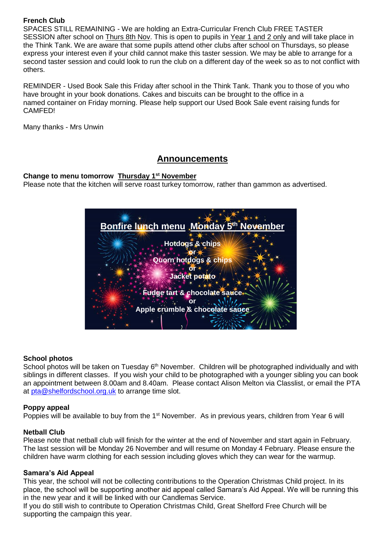# **French Club**

SPACES STILL REMAINING - We are holding an Extra-Curricular French Club FREE TASTER SESSION after school on Thurs 8th Nov. This is open to pupils in Year 1 and 2 only and will take place in the Think Tank. We are aware that some pupils attend other clubs after school on Thursdays, so please express your interest even if your child cannot make this taster session. We may be able to arrange for a second taster session and could look to run the club on a different day of the week so as to not conflict with others.

REMINDER - Used Book Sale this Friday after school in the Think Tank. Thank you to those of you who have brought in your book donations. Cakes and biscuits can be brought to the office in a named container on Friday morning. Please help support our Used Book Sale event raising funds for CAMFED!

Many thanks - Mrs Unwin

# **Announcements**

# **Change to menu tomorrow Thursday 1st November**

Please note that the kitchen will serve roast turkey tomorrow, rather than gammon as advertised.

| Bonfire lunch menu Monday 5th November |
|----------------------------------------|
|                                        |
| <b>Hotdogs &amp; chips</b>             |
| <b>Quorn hotdogs &amp; chips</b>       |
|                                        |
| Jacket potato                          |
| Fudge tart & chocolate sauce           |
| Οľ                                     |
| Apple crumble & chocolate sauce        |
|                                        |

# **School photos**

School photos will be taken on Tuesday 6<sup>th</sup> November. Children will be photographed individually and with siblings in different classes. If you wish your child to be photographed with a younger sibling you can book an appointment between 8.00am and 8.40am. Please contact Alison Melton via Classlist, or email the PTA at [pta@shelfordschool.org.uk](mailto:pta@shelfordschool.org.uk) to arrange time slot.

# **Poppy appeal**

Poppies will be available to buy from the 1<sup>st</sup> November. As in previous years, children from Year 6 will

# **Netball Club**

Please note that netball club will finish for the winter at the end of November and start again in February. The last session will be Monday 26 November and will resume on Monday 4 February. Please ensure the children have warm clothing for each session including gloves which they can wear for the warmup.

# **Samara's Aid Appeal**

This year, the school will not be collecting contributions to the Operation Christmas Child project. In its place, the school will be supporting another aid appeal called Samara's Aid Appeal. We will be running this in the new year and it will be linked with our Candlemas Service.

If you do still wish to contribute to Operation Christmas Child, Great Shelford Free Church will be supporting the campaign this year.